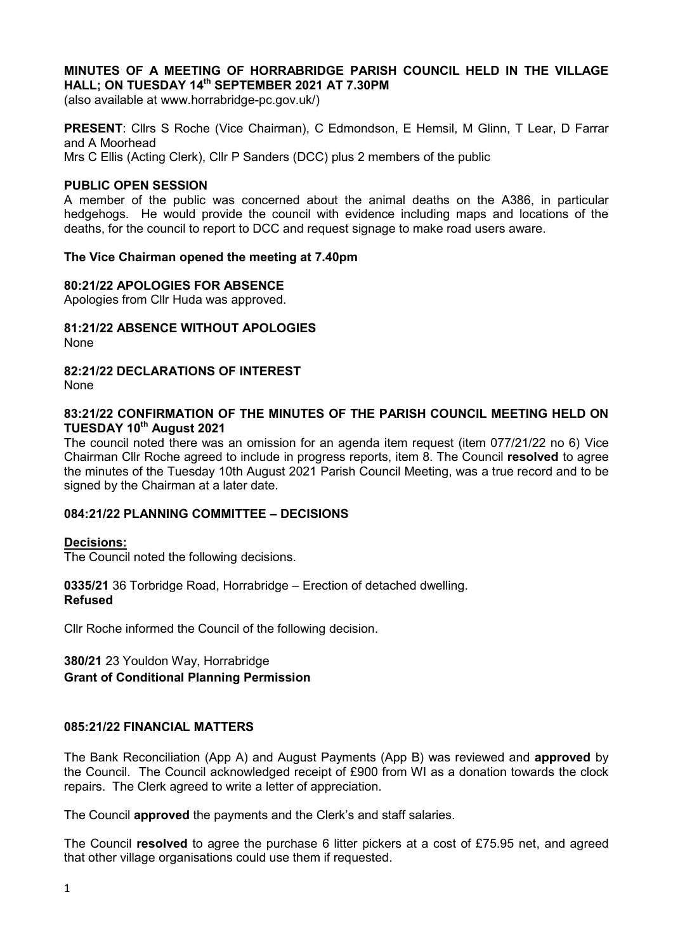## **MINUTES OF A MEETING OF HORRABRIDGE PARISH COUNCIL HELD IN THE VILLAGE HALL; ON TUESDAY 14th SEPTEMBER 2021 AT 7.30PM**

(also available at www.horrabridge-pc.gov.uk/)

**PRESENT**: Cllrs S Roche (Vice Chairman), C Edmondson, E Hemsil, M Glinn, T Lear, D Farrar and A Moorhead Mrs C Ellis (Acting Clerk), Cllr P Sanders (DCC) plus 2 members of the public

#### **PUBLIC OPEN SESSION**

A member of the public was concerned about the animal deaths on the A386, in particular hedgehogs. He would provide the council with evidence including maps and locations of the deaths, for the council to report to DCC and request signage to make road users aware.

#### **The Vice Chairman opened the meeting at 7.40pm**

#### **80:21/22 APOLOGIES FOR ABSENCE**

Apologies from Cllr Huda was approved.

**81:21/22 ABSENCE WITHOUT APOLOGIES** None

#### **82:21/22 DECLARATIONS OF INTEREST**  None

### **83:21/22 CONFIRMATION OF THE MINUTES OF THE PARISH COUNCIL MEETING HELD ON TUESDAY 10th August 2021**

The council noted there was an omission for an agenda item request (item 077/21/22 no 6) Vice Chairman Cllr Roche agreed to include in progress reports, item 8. The Council **resolved** to agree the minutes of the Tuesday 10th August 2021 Parish Council Meeting, was a true record and to be signed by the Chairman at a later date.

### **084:21/22 PLANNING COMMITTEE – DECISIONS**

#### **Decisions:**

The Council noted the following decisions.

#### **0335/21** 36 Torbridge Road, Horrabridge – Erection of detached dwelling. **Refused**

Cllr Roche informed the Council of the following decision.

# **380/21** 23 Youldon Way, Horrabridge **Grant of Conditional Planning Permission**

#### **085:21/22 FINANCIAL MATTERS**

The Bank Reconciliation (App A) and August Payments (App B) was reviewed and **approved** by the Council. The Council acknowledged receipt of £900 from WI as a donation towards the clock repairs. The Clerk agreed to write a letter of appreciation.

The Council **approved** the payments and the Clerk's and staff salaries.

The Council **resolved** to agree the purchase 6 litter pickers at a cost of £75.95 net, and agreed that other village organisations could use them if requested.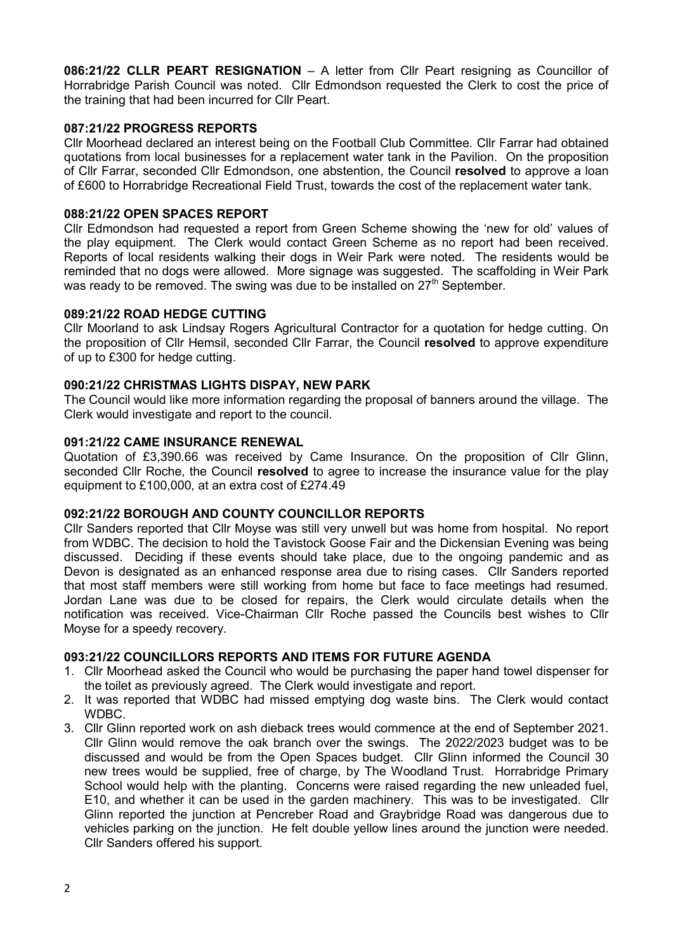**086:21/22 CLLR PEART RESIGNATION** – A letter from Cllr Peart resigning as Councillor of Horrabridge Parish Council was noted. Cllr Edmondson requested the Clerk to cost the price of the training that had been incurred for Cllr Peart.

## **087:21/22 PROGRESS REPORTS**

Cllr Moorhead declared an interest being on the Football Club Committee. Cllr Farrar had obtained quotations from local businesses for a replacement water tank in the Pavilion. On the proposition of Cllr Farrar, seconded Cllr Edmondson, one abstention, the Council **resolved** to approve a loan of £600 to Horrabridge Recreational Field Trust, towards the cost of the replacement water tank.

# **088:21/22 OPEN SPACES REPORT**

Cllr Edmondson had requested a report from Green Scheme showing the 'new for old' values of the play equipment. The Clerk would contact Green Scheme as no report had been received. Reports of local residents walking their dogs in Weir Park were noted. The residents would be reminded that no dogs were allowed. More signage was suggested. The scaffolding in Weir Park was ready to be removed. The swing was due to be installed on  $27<sup>th</sup>$  September.

## **089:21/22 ROAD HEDGE CUTTING**

Cllr Moorland to ask Lindsay Rogers Agricultural Contractor for a quotation for hedge cutting. On the proposition of Cllr Hemsil, seconded Cllr Farrar, the Council **resolved** to approve expenditure of up to £300 for hedge cutting.

## **090:21/22 CHRISTMAS LIGHTS DISPAY, NEW PARK**

The Council would like more information regarding the proposal of banners around the village. The Clerk would investigate and report to the council.

### **091:21/22 CAME INSURANCE RENEWAL**

Quotation of £3,390.66 was received by Came Insurance. On the proposition of Cllr Glinn, seconded Cllr Roche, the Council **resolved** to agree to increase the insurance value for the play equipment to £100,000, at an extra cost of £274.49

## **092:21/22 BOROUGH AND COUNTY COUNCILLOR REPORTS**

Cllr Sanders reported that Cllr Moyse was still very unwell but was home from hospital. No report from WDBC. The decision to hold the Tavistock Goose Fair and the Dickensian Evening was being discussed. Deciding if these events should take place, due to the ongoing pandemic and as Devon is designated as an enhanced response area due to rising cases. Cllr Sanders reported that most staff members were still working from home but face to face meetings had resumed. Jordan Lane was due to be closed for repairs, the Clerk would circulate details when the notification was received. Vice-Chairman Cllr Roche passed the Councils best wishes to Cllr Moyse for a speedy recovery.

## **093:21/22 COUNCILLORS REPORTS AND ITEMS FOR FUTURE AGENDA**

- 1. Cllr Moorhead asked the Council who would be purchasing the paper hand towel dispenser for the toilet as previously agreed. The Clerk would investigate and report.
- 2. It was reported that WDBC had missed emptying dog waste bins. The Clerk would contact WDBC.
- 3. Cllr Glinn reported work on ash dieback trees would commence at the end of September 2021. Cllr Glinn would remove the oak branch over the swings. The 2022/2023 budget was to be discussed and would be from the Open Spaces budget. Cllr Glinn informed the Council 30 new trees would be supplied, free of charge, by The Woodland Trust. Horrabridge Primary School would help with the planting. Concerns were raised regarding the new unleaded fuel, E10, and whether it can be used in the garden machinery. This was to be investigated. Cllr Glinn reported the junction at Pencreber Road and Graybridge Road was dangerous due to vehicles parking on the junction. He felt double yellow lines around the junction were needed. Cllr Sanders offered his support.